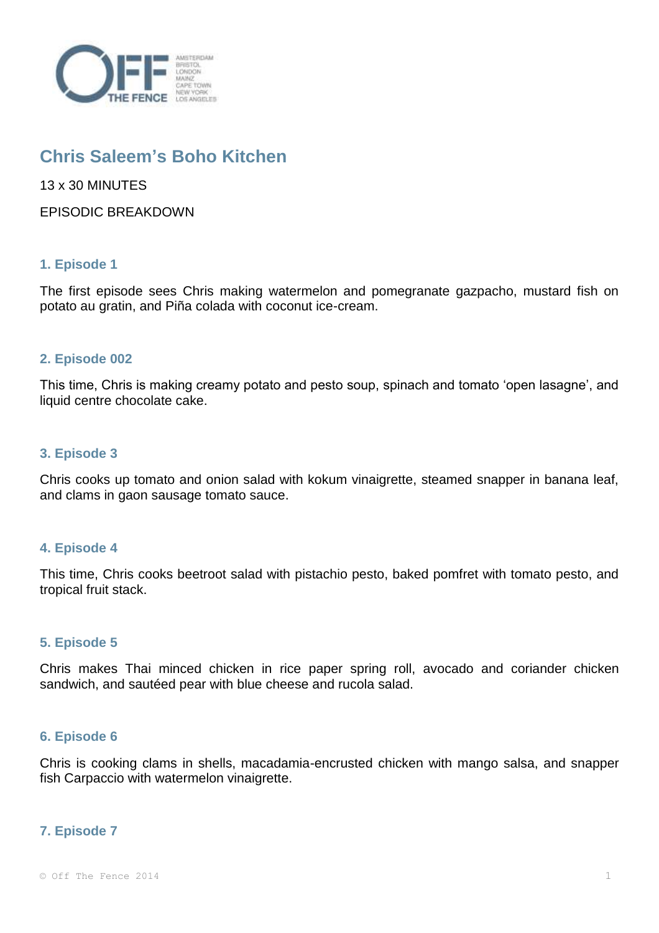

# **Chris Saleem's Boho Kitchen**

13 x 30 MINUTES

EPISODIC BREAKDOWN

# **1. Episode 1**

The first episode sees Chris making watermelon and pomegranate gazpacho, mustard fish on potato au gratin, and Piña colada with coconut ice-cream.

## **2. Episode 002**

This time, Chris is making creamy potato and pesto soup, spinach and tomato 'open lasagne', and liquid centre chocolate cake.

### **3. Episode 3**

Chris cooks up tomato and onion salad with kokum vinaigrette, steamed snapper in banana leaf, and clams in gaon sausage tomato sauce.

### **4. Episode 4**

This time, Chris cooks beetroot salad with pistachio pesto, baked pomfret with tomato pesto, and tropical fruit stack.

### **5. Episode 5**

Chris makes Thai minced chicken in rice paper spring roll, avocado and coriander chicken sandwich, and sautéed pear with blue cheese and rucola salad.

### **6. Episode 6**

Chris is cooking clams in shells, macadamia-encrusted chicken with mango salsa, and snapper fish Carpaccio with watermelon vinaigrette.

### **7. Episode 7**